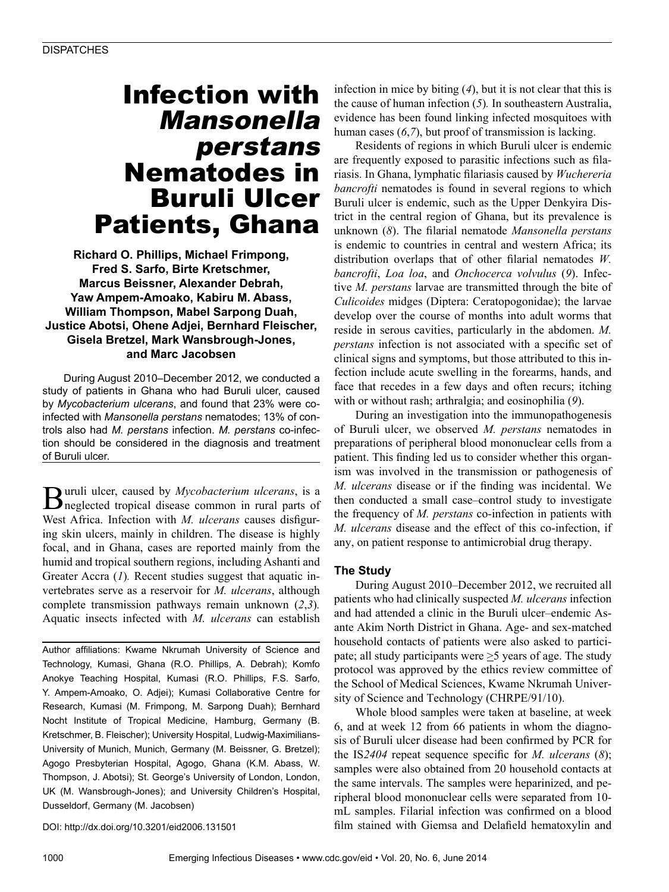# Infection with Mansonella perstans Nematodes in Buruli Ulcer Patients, Ghana

**Richard O. Phillips, Michael Frimpong, Fred S. Sarfo, Birte Kretschmer, Marcus Beissner, Alexander Debrah, Yaw Ampem-Amoako, Kabiru M. Abass, William Thompson, Mabel Sarpong Duah, Justice Abotsi, Ohene Adjei, Bernhard Fleischer, Gisela Bretzel, Mark Wansbrough-Jones, and Marc Jacobsen**

During August 2010–December 2012, we conducted a study of patients in Ghana who had Buruli ulcer, caused by *Mycobacterium ulcerans*, and found that 23% were coinfected with *Mansonella perstans* nematodes; 13% of controls also had *M. perstans* infection. *M. perstans* co-infection should be considered in the diagnosis and treatment of Buruli ulcer.

**B**uruli ulcer, caused by *Mycobacterium ulcerans*, is a neglected tropical disease common in rural parts of West Africa. Infection with *M. ulcerans* causes disfiguring skin ulcers, mainly in children. The disease is highly focal, and in Ghana, cases are reported mainly from the humid and tropical southern regions, including Ashanti and Greater Accra (*1*)*.* Recent studies suggest that aquatic invertebrates serve as a reservoir for *M. ulcerans*, although complete transmission pathways remain unknown (*2*,*3*)*.* Aquatic insects infected with *M. ulcerans* can establish

Author affiliations: Kwame Nkrumah University of Science and Technology, Kumasi, Ghana (R.O. Phillips, A. Debrah); Komfo Anokye Teaching Hospital, Kumasi (R.O. Phillips, F.S. Sarfo, Y. Ampem-Amoako, O. Adjei); Kumasi Collaborative Centre for Research, Kumasi (M. Frimpong, M. Sarpong Duah); Bernhard Nocht Institute of Tropical Medicine, Hamburg, Germany (B. Kretschmer, B. Fleischer); University Hospital, Ludwig-Maximilians-University of Munich, Munich, Germany (M. Beissner, G. Bretzel); Agogo Presbyterian Hospital, Agogo, Ghana (K.M. Abass, W. Thompson, J. Abotsi); St. George's University of London, London, UK (M. Wansbrough-Jones); and University Children's Hospital, Dusseldorf, Germany (M. Jacobsen)

DOI: http://dx.doi.org/10.3201/eid2006.131501

infection in mice by biting (*4*), but it is not clear that this is the cause of human infection (*5*)*.* In southeastern Australia, evidence has been found linking infected mosquitoes with human cases (*6*,*7*), but proof of transmission is lacking.

Residents of regions in which Buruli ulcer is endemic are frequently exposed to parasitic infections such as filariasis. In Ghana, lymphatic filariasis caused by *Wuchereria bancrofti* nematodes is found in several regions to which Buruli ulcer is endemic, such as the Upper Denkyira District in the central region of Ghana, but its prevalence is unknown (*8*). The filarial nematode *Mansonella perstans* is endemic to countries in central and western Africa; its distribution overlaps that of other filarial nematodes *W. bancrofti*, *Loa loa*, and *Onchocerca volvulus* (*9*). Infective *M. perstans* larvae are transmitted through the bite of *Culicoides* midges (Diptera: Ceratopogonidae); the larvae develop over the course of months into adult worms that reside in serous cavities, particularly in the abdomen. *M. perstans* infection is not associated with a specific set of clinical signs and symptoms, but those attributed to this infection include acute swelling in the forearms, hands, and face that recedes in a few days and often recurs; itching with or without rash; arthralgia; and eosinophilia (*9*).

During an investigation into the immunopathogenesis of Buruli ulcer, we observed *M. perstans* nematodes in preparations of peripheral blood mononuclear cells from a patient. This finding led us to consider whether this organism was involved in the transmission or pathogenesis of *M. ulcerans* disease or if the finding was incidental. We then conducted a small case–control study to investigate the frequency of *M. perstans* co-infection in patients with *M. ulcerans* disease and the effect of this co-infection, if any, on patient response to antimicrobial drug therapy.

### **The Study**

During August 2010–December 2012, we recruited all patients who had clinically suspected *M. ulcerans* infection and had attended a clinic in the Buruli ulcer–endemic Asante Akim North District in Ghana. Age- and sex-matched household contacts of patients were also asked to participate; all study participants were  $\geq$ 5 years of age. The study protocol was approved by the ethics review committee of the School of Medical Sciences, Kwame Nkrumah University of Science and Technology (CHRPE/91/10).

Whole blood samples were taken at baseline, at week 6, and at week 12 from 66 patients in whom the diagnosis of Buruli ulcer disease had been confirmed by PCR for the IS*2404* repeat sequence specific for *M. ulcerans* (*8*); samples were also obtained from 20 household contacts at the same intervals. The samples were heparinized, and peripheral blood mononuclear cells were separated from 10 mL samples. Filarial infection was confirmed on a blood film stained with Giemsa and Delafield hematoxylin and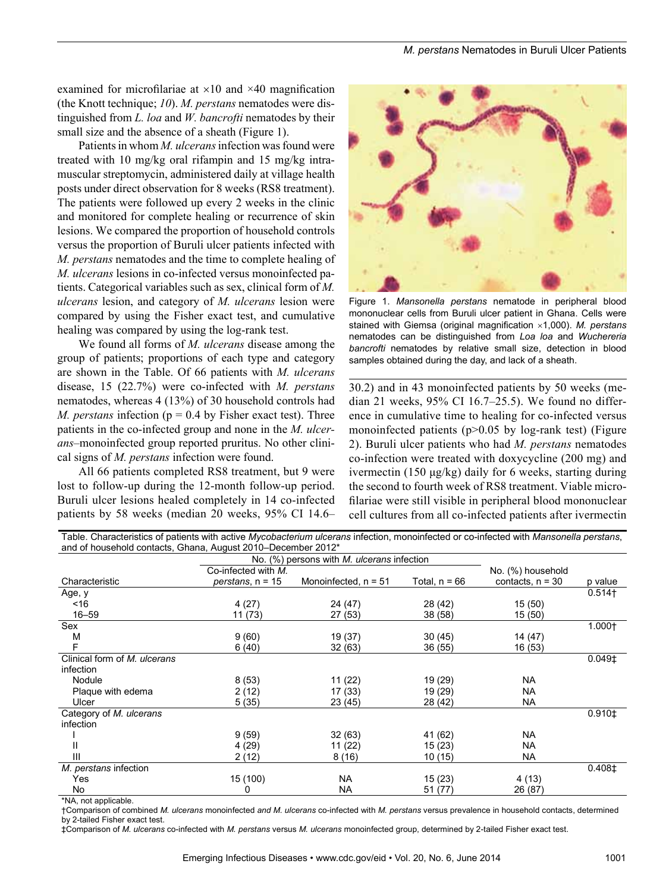examined for microfilariae at  $\times$ 10 and  $\times$ 40 magnification (the Knott technique; *10*). *M. perstans* nematodes were distinguished from *L. loa* and *W. bancrofti* nematodes by their small size and the absence of a sheath (Figure 1).

Patients in whom *M. ulcerans* infection was found were treated with 10 mg/kg oral rifampin and 15 mg/kg intramuscular streptomycin, administered daily at village health posts under direct observation for 8 weeks (RS8 treatment). The patients were followed up every 2 weeks in the clinic and monitored for complete healing or recurrence of skin lesions. We compared the proportion of household controls versus the proportion of Buruli ulcer patients infected with *M. perstans* nematodes and the time to complete healing of *M. ulcerans* lesions in co-infected versus monoinfected patients. Categorical variables such as sex, clinical form of *M. ulcerans* lesion, and category of *M. ulcerans* lesion were compared by using the Fisher exact test, and cumulative healing was compared by using the log-rank test.

We found all forms of *M. ulcerans* disease among the group of patients; proportions of each type and category are shown in the Table. Of 66 patients with *M. ulcerans* disease, 15 (22.7%) were co-infected with *M. perstans* nematodes, whereas 4 (13%) of 30 household controls had *M. perstans* infection ( $p = 0.4$  by Fisher exact test). Three patients in the co-infected group and none in the *M. ulcerans*–monoinfected group reported pruritus. No other clinical signs of *M. perstans* infection were found.

All 66 patients completed RS8 treatment, but 9 were lost to follow-up during the 12-month follow-up period. Buruli ulcer lesions healed completely in 14 co-infected patients by 58 weeks (median 20 weeks, 95% CI 14.6–



Figure 1. *Mansonella perstans* nematode in peripheral blood mononuclear cells from Buruli ulcer patient in Ghana. Cells were stained with Giemsa (original magnification ×1,000). *M. perstans* nematodes can be distinguished from *Loa loa* and *Wuchereria bancrofti* nematodes by relative small size, detection in blood samples obtained during the day, and lack of a sheath.

30.2) and in 43 monoinfected patients by 50 weeks (median 21 weeks, 95% CI 16.7–25.5). We found no difference in cumulative time to healing for co-infected versus monoinfected patients ( $p > 0.05$  by log-rank test) (Figure 2). Buruli ulcer patients who had *M. perstans* nematodes co-infection were treated with doxycycline (200 mg) and ivermectin (150 μg/kg) daily for 6 weeks, starting during the second to fourth week of RS8 treatment. Viable microfilariae were still visible in peripheral blood mononuclear cell cultures from all co-infected patients after ivermectin

| Table. Characteristics of patients with active Mycobacterium ulcerans infection, monoinfected or co-infected with Mansonella perstans, |                     |                        |               |                    |                      |
|----------------------------------------------------------------------------------------------------------------------------------------|---------------------|------------------------|---------------|--------------------|----------------------|
| and of household contacts, Ghana, August 2010–December 2012*                                                                           |                     |                        |               |                    |                      |
| No. (%) persons with M. ulcerans infection                                                                                             |                     |                        |               |                    |                      |
|                                                                                                                                        | Co-infected with M. |                        |               | No. (%) household  |                      |
| Characteristic                                                                                                                         | perstans, n = 15    | Monoinfected, $n = 51$ | Total, n = 66 | contacts, $n = 30$ | p value              |
| Age, y                                                                                                                                 |                     |                        |               |                    | $0.514$ <sup>+</sup> |
| ~16                                                                                                                                    | 4(27)               | 24 (47)                | 28 (42)       | 15 (50)            |                      |
| $16 - 59$                                                                                                                              | 11 (73)             | 27 (53)                | 38 (58)       | 15 (50)            |                      |
| Sex                                                                                                                                    |                     |                        |               |                    | $1.000 +$            |
| M                                                                                                                                      | 9(60)               | 19 (37)                | 30(45)        | 14 (47)            |                      |
| F                                                                                                                                      | 6(40)               | 32(63)                 | 36 (55)       | 16 (53)            |                      |
| Clinical form of M. ulcerans                                                                                                           |                     |                        |               |                    | $0.049$ <sup>±</sup> |
| infection                                                                                                                              |                     |                        |               |                    |                      |
| Nodule                                                                                                                                 | 8(53)               | 11(22)                 | 19 (29)       | <b>NA</b>          |                      |
| Plaque with edema                                                                                                                      | 2(12)               | 17 (33)                | 19 (29)       | <b>NA</b>          |                      |
| Ulcer                                                                                                                                  | 5(35)               | 23 (45)                | 28 (42)       | NA                 |                      |
| Category of M. ulcerans                                                                                                                |                     |                        |               |                    | $0.910 \pm$          |
| infection                                                                                                                              |                     |                        |               |                    |                      |
|                                                                                                                                        | 9(59)               | 32(63)                 | 41 (62)       | <b>NA</b>          |                      |
| Ш                                                                                                                                      | 4 (29)              | 11(22)                 | 15(23)        | <b>NA</b>          |                      |
| Ш                                                                                                                                      | 2(12)               | 8(16)                  | 10(15)        | <b>NA</b>          |                      |
| M. perstans infection                                                                                                                  |                     |                        |               |                    | 0.408 <sup>±</sup>   |
| Yes                                                                                                                                    | 15 (100)            | NA.                    | 15(23)        | 4 (13)             |                      |
| No                                                                                                                                     | 0                   | <b>NA</b>              | 51 (77)       | 26 (87)            |                      |

\*NA, not applicable.

†Comparison of combined *M. ulcerans* monoinfected *and M. ulcerans* co-infected with *M. perstans* versus prevalence in household contacts, determined by 2-tailed Fisher exact test.

‡Comparison of *M. ulcerans* co-infected with *M. perstans* versus *M. ulcerans* monoinfected group, determined by 2-tailed Fisher exact test.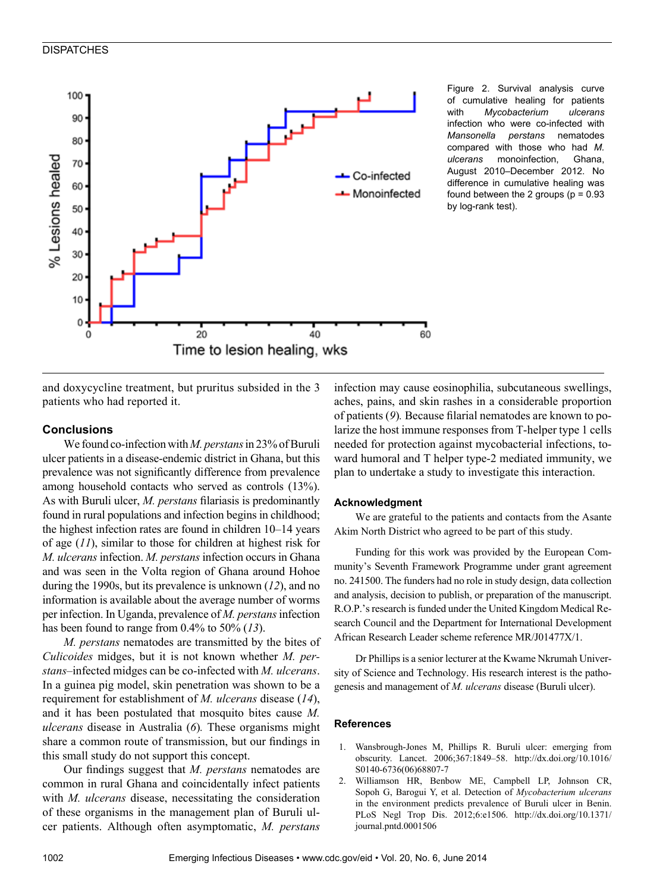## **DISPATCHES**



Figure 2. Survival analysis curve of cumulative healing for patients with *Mycobacterium ulcerans* infection who were co-infected with *Mansonella perstans* nematodes compared with those who had *M. ulcerans* monoinfection, Ghana, August 2010–December 2012. No difference in cumulative healing was found between the 2 groups ( $p = 0.93$ ) by log-rank test).

and doxycycline treatment, but pruritus subsided in the 3 patients who had reported it.

## **Conclusions**

We found co-infection with *M. perstans* in 23% of Buruli ulcer patients in a disease-endemic district in Ghana, but this prevalence was not significantly difference from prevalence among household contacts who served as controls (13%). As with Buruli ulcer, *M. perstans* filariasis is predominantly found in rural populations and infection begins in childhood; the highest infection rates are found in children 10–14 years of age (*11*), similar to those for children at highest risk for *M. ulcerans* infection. *M. perstans* infection occurs in Ghana and was seen in the Volta region of Ghana around Hohoe during the 1990s, but its prevalence is unknown (*12*), and no information is available about the average number of worms per infection. In Uganda, prevalence of *M. perstans* infection has been found to range from 0.4% to 50% (*13*).

*M. perstans* nematodes are transmitted by the bites of *Culicoides* midges, but it is not known whether *M. perstans*–infected midges can be co-infected with *M. ulcerans*. In a guinea pig model, skin penetration was shown to be a requirement for establishment of *M. ulcerans* disease (*14*), and it has been postulated that mosquito bites cause *M. ulcerans* disease in Australia (*6*)*.* These organisms might share a common route of transmission, but our findings in this small study do not support this concept.

Our findings suggest that *M. perstans* nematodes are common in rural Ghana and coincidentally infect patients with *M. ulcerans* disease, necessitating the consideration of these organisms in the management plan of Buruli ulcer patients. Although often asymptomatic, *M. perstans*

infection may cause eosinophilia, subcutaneous swellings, aches, pains, and skin rashes in a considerable proportion of patients (*9*)*.* Because filarial nematodes are known to polarize the host immune responses from T-helper type 1 cells needed for protection against mycobacterial infections, toward humoral and T helper type-2 mediated immunity, we plan to undertake a study to investigate this interaction.

#### **Acknowledgment**

We are grateful to the patients and contacts from the Asante Akim North District who agreed to be part of this study.

Funding for this work was provided by the European Community's Seventh Framework Programme under grant agreement no. 241500. The funders had no role in study design, data collection and analysis, decision to publish, or preparation of the manuscript. R.O.P.'s research is funded under the United Kingdom Medical Research Council and the Department for International Development African Research Leader scheme reference MR/J01477X/1.

Dr Phillips is a senior lecturer at the Kwame Nkrumah University of Science and Technology. His research interest is the pathogenesis and management of *M. ulcerans* disease (Buruli ulcer).

#### **References**

- 1. Wansbrough-Jones M, Phillips R. Buruli ulcer: emerging from obscurity. Lancet. 2006;367:1849–58. http://dx.doi.org/10.1016/ S0140-6736(06)68807-7
- 2. Williamson HR, Benbow ME, Campbell LP, Johnson CR, Sopoh G, Barogui Y, et al. Detection of *Mycobacterium ulcerans* in the environment predicts prevalence of Buruli ulcer in Benin. PLoS Negl Trop Dis. 2012;6:e1506. http://dx.doi.org/10.1371/ journal.pntd.0001506